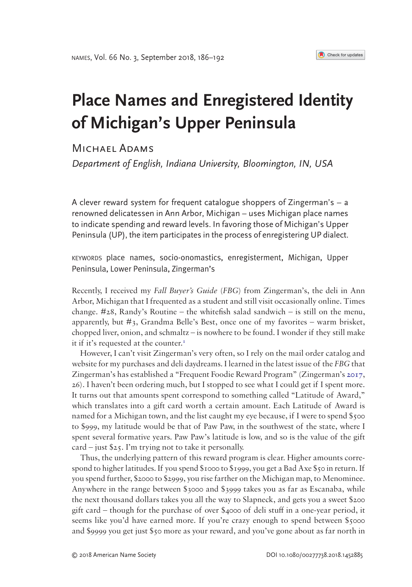# **Place Names and Enregistered Identity of Michigan's Upper Peninsula**

# Michael Adams

*Department of English, Indiana University, Bloomington, IN, USA*

A clever reward system for frequent catalogue shoppers of Zingerman's – a renowned delicatessen in Ann Arbor, Michigan – uses Michigan place names to indicate spending and reward levels. In favoring those of Michigan's Upper Peninsula (UP), the item participates in the process of enregistering UP dialect.

KEYWORDS place names, socio-onomastics, enregisterment, Michigan, Upper Peninsula, Lower Peninsula, Zingerman's

Recently, I received my *Fall Buyer's Guide* (*FBG*) from Zingerman's, the deli in Ann Arbor, Michigan that I frequented as a student and still visit occasionally online. Times change.  $\#28$ , Randy's Routine – the whitefish salad sandwich – is still on the menu, apparently, but  $\#$ 3, Grandma Belle's Best, once one of my favorites – warm brisket, chopped liver, onion, and schmaltz – is nowhere to be found. I wonder if they still make it if it's requested at the counter.<sup>[1](#page-5-0)</sup>

<span id="page-0-0"></span>However, I can't visit Zingerman's very often, so I rely on the mail order catalog and website for my purchases and deli daydreams. I learned in the latest issue of the *FBG* that Zingerman's has established a "Frequent Foodie Reward Program" (Zingerman's [2017,](#page-6-0) 26). I haven't been ordering much, but I stopped to see what I could get if I spent more. It turns out that amounts spent correspond to something called "Latitude of Award," which translates into a gift card worth a certain amount. Each Latitude of Award is named for a Michigan town, and the list caught my eye because, if I were to spend \$500 to \$999, my latitude would be that of Paw Paw, in the southwest of the state, where I spent several formative years. Paw Paw's latitude is low, and so is the value of the gift card – just  $\S_2$ . I'm trying not to take it personally.

Thus, the underlying pattern of this reward program is clear. Higher amounts correspond to higher latitudes. If you spend \$1000 to \$1999, you get a Bad Axe \$50 in return. If you spend further, \$2000 to \$2999, you rise farther on the Michigan map, to Menominee. Anywhere in the range between \$3000 and \$3999 takes you as far as Escanaba, while the next thousand dollars takes you all the way to Slapneck, and gets you a sweet \$200 gift card – though for the purchase of over \$4000 of deli stuff in a one-year period, it seems like you'd have earned more. If you're crazy enough to spend between \$5000 and \$9999 you get just \$50 more as your reward, and you've gone about as far north in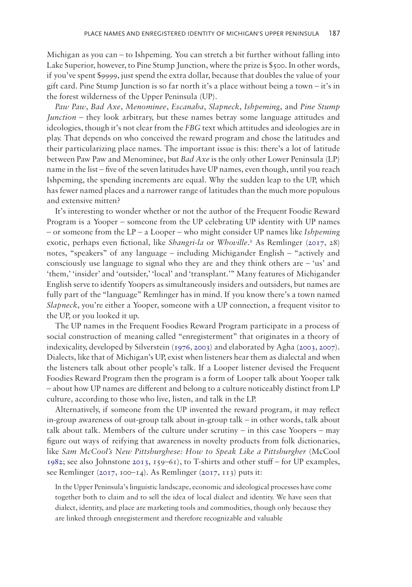Michigan as you can – to Ishpeming. You can stretch a bit further without falling into Lake Superior, however, to Pine Stump Junction, where the prize is  $\S$ 500. In other words, if you've spent \$9999, just spend the extra dollar, because that doubles the value of your gift card. Pine Stump Junction is so far north it's a place without being a town – it's in the forest wilderness of the Upper Peninsula (UP).

*Paw Paw*, *Bad Axe*, *Menominee*, *Escanaba*, *Slapneck*, *Ishpeming*, and *Pine Stump Junction* – they look arbitrary, but these names betray some language attitudes and ideologies, though it's not clear from the *FBG* text which attitudes and ideologies are in play. That depends on who conceived the reward program and chose the latitudes and their particularizing place names. The important issue is this: there's a lot of latitude between Paw Paw and Menominee, but *Bad Axe* is the only other Lower Peninsula (LP) name in the list – five of the seven latitudes have UP names, even though, until you reach Ishpeming, the spending increments are equal. Why the sudden leap to the UP, which has fewer named places and a narrower range of latitudes than the much more populous and extensive mitten?

<span id="page-1-4"></span>It's interesting to wonder whether or not the author of the Frequent Foodie Reward Program is a Yooper – someone from the UP celebrating UP identity with UP names – or someone from the LP – a Looper – who might consider UP names like *Ishpeming* exotic, perhaps even fictional, like *Shangri-la* or *Whoville*.<sup>[2](#page-5-1)</sup> As Remlinger [\(2017](#page-6-1), 28) notes, "speakers" of any language – including Michigander English – "actively and consciously use language to signal who they are and they think others are – 'us' and 'them,' 'insider' and 'outsider,' 'local' and 'transplant.'" Many features of Michigander English serve to identify Yoopers as simultaneously insiders and outsiders, but names are fully part of the "language" Remlinger has in mind. If you know there's a town named *Slapneck*, you're either a Yooper, someone with a UP connection, a frequent visitor to the UP, or you looked it up.

<span id="page-1-6"></span><span id="page-1-5"></span><span id="page-1-1"></span><span id="page-1-0"></span>The UP names in the Frequent Foodies Reward Program participate in a process of social construction of meaning called "enregisterment" that originates in a theory of indexicality, developed by Silverstein [\(1976,](#page-6-2) [2003](#page-6-3)) and elaborated by Agha [\(2003](#page-5-2), [2007](#page-5-3)). Dialects, like that of Michigan's UP, exist when listeners hear them as dialectal and when the listeners talk about other people's talk. If a Looper listener devised the Frequent Foodies Reward Program then the program is a form of Looper talk about Yooper talk – about how UP names are different and belong to a culture noticeably distinct from LP culture, according to those who live, listen, and talk in the LP.

Alternatively, if someone from the UP invented the reward program, it may reflect in-group awareness of out-group talk about in-group talk – in other words, talk about talk about talk. Members of the culture under scrutiny – in this case Yoopers – may figure out ways of reifying that awareness in novelty products from folk dictionaries, like *Sam McCool's New Pittsburghese: How to Speak Like a Pittsburgher* (McCool [1982](#page-6-4); see also Johnstone [2013,](#page-6-5) 159–61), to T-shirts and other stuff – for UP examples, see Remlinger ([2017,](#page-6-1) 100–14). As Remlinger [\(2017,](#page-6-1) 113) puts it:

<span id="page-1-3"></span><span id="page-1-2"></span>In the Upper Peninsula's linguistic landscape, economic and ideological processes have come together both to claim and to sell the idea of local dialect and identity. We have seen that dialect, identity, and place are marketing tools and commodities, though only because they are linked through enregisterment and therefore recognizable and valuable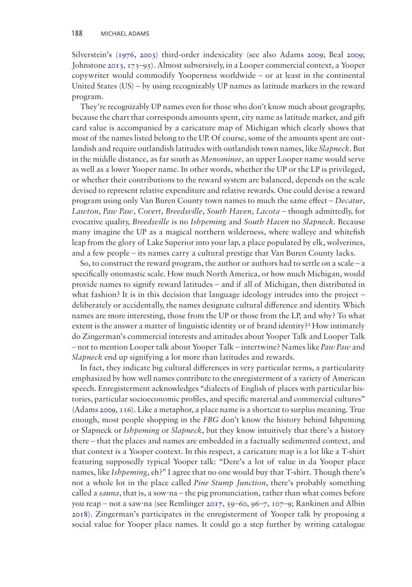<span id="page-2-1"></span><span id="page-2-0"></span>Silverstein's [\(1976, 2003](#page-6-2)) third-order indexicality (see also Adams [2009](#page-5-4); Beal [2009;](#page-5-5) Johnstone [2013,](#page-6-5) 173–95). Almost subversively, in a Looper commercial context, a Yooper copywriter would commodify Yooperness worldwide – or at least in the continental United States (US) – by using recognizably UP names as latitude markers in the reward program.

They're recognizably UP names even for those who don't know much about geography, because the chart that corresponds amounts spent, city name as latitude marker, and gift card value is accompanied by a caricature map of Michigan which clearly shows that most of the names listed belong to the UP. Of course, some of the amounts spent are outlandish and require outlandish latitudes with outlandish town names, like *Slapneck*. But in the middle distance, as far south as *Menominee*, an upper Looper name would serve as well as a lower Yooper name. In other words, whether the UP or the LP is privileged, or whether their contributions to the reward system are balanced, depends on the scale devised to represent relative expenditure and relative rewards. One could devise a reward program using only Van Buren County town names to much the same effect – *Decatur*, *Lawton*, *Paw Paw*, *Covert*, *Breedsville*, *South Haven*, *Lacota* – though admittedly, for evocative quality, *Breedsville* is no *Ishpeming* and *South Haven* no *Slapneck*. Because many imagine the UP as a magical northern wilderness, where walleye and whitefish leap from the glory of Lake Superior into your lap, a place populated by elk, wolverines, and a few people – its names carry a cultural prestige that Van Buren County lacks.

So, to construct the reward program, the author or authors had to settle on a scale – a specifically onomastic scale. How much North America, or how much Michigan, would provide names to signify reward latitudes – and if all of Michigan, then distributed in what fashion? It is in this decision that language ideology intrudes into the project – deliberately or accidentally, the names designate cultural difference and identity. Which names are more interesting, those from the UP or those from the LP, and why? To what extent is the answer a matter of linguistic identity or of brand identity?<sup>[3](#page-5-6)</sup> How intimately do Zingerman's commercial interests and attitudes about Yooper Talk and Looper Talk – not to mention Looper talk about Yooper Talk – intertwine? Names like *Paw Paw* and *Slapneck* end up signifying a lot more than latitudes and rewards.

<span id="page-2-2"></span>In fact, they indicate big cultural differences in very particular terms, a particularity emphasized by how well names contribute to the enregisterment of a variety of American speech. Enregisterment acknowledges "dialects of English of places with particular histories, particular socioeconomic profiles, and specific material and commercial cultures" (Adams [2009](#page-5-4), 116). Like a metaphor, a place name is a shortcut to surplus meaning. True enough, most people shopping in the *FBG* don't know the history behind Ishpeming or Slapneck or *Ishpeming* or *Slapneck*, but they know intuitively that there's a history there – that the places and names are embedded in a factually sedimented context, and that context is a Yooper context. In this respect, a caricature map is a lot like a T-shirt featuring supposedly typical Yooper talk: "Dere's a lot of value in da Yooper place names, like *Ishpeming*, eh?" I agree that no one would buy that T-shirt. Though there's not a whole lot in the place called *Pine Stump Junction*, there's probably something called a *sauna*, that is, a sow·na – the pig pronunciation, rather than what comes before you reap – not a saw·na (see Remlinger [2017](#page-6-1), 59–60, 96–7, 107–9; Rankinen and Albin [2018](#page-6-6)). Zingerman's participates in the enregisterment of Yooper talk by proposing a social value for Yooper place names. It could go a step further by writing catalogue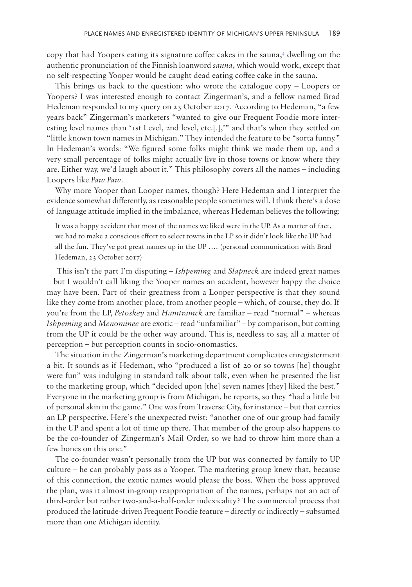copy that had Yoopers eating its signature coffee cakes in the sauna,<sup>[4](#page-5-7)</sup> dwelling on the authentic pronunciation of the Finnish loanword *sauna*, which would work, except that no self-respecting Yooper would be caught dead eating coffee cake in the sauna.

This brings us back to the question: who wrote the catalogue copy – Loopers or Yoopers? I was interested enough to contact Zingerman's, and a fellow named Brad Hedeman responded to my query on 23 October 2017. According to Hedeman, "a few years back" Zingerman's marketers "wanted to give our Frequent Foodie more interesting level names than '1st Level, 2nd level, etc.[.]," and that's when they settled on "little known town names in Michigan." They intended the feature to be "sorta funny." In Hedeman's words: "We figured some folks might think we made them up, and a very small percentage of folks might actually live in those towns or know where they are. Either way, we'd laugh about it." This philosophy covers all the names – including Loopers like *Paw Paw*.

Why more Yooper than Looper names, though? Here Hedeman and I interpret the evidence somewhat differently, as reasonable people sometimes will. I think there's a dose of language attitude implied in the imbalance, whereas Hedeman believes the following:

It was a happy accident that most of the names we liked were in the UP. As a matter of fact, we had to make a conscious effort to select towns in the LP so it didn't look like the UP had all the fun. They've got great names up in the UP …. (personal communication with Brad Hedeman, 23 October 2017)

This isn't the part I'm disputing – *Ishpeming* and *Slapneck* are indeed great names – but I wouldn't call liking the Yooper names an accident, however happy the choice may have been. Part of their greatness from a Looper perspective is that they sound like they come from another place, from another people – which, of course, they do. If you're from the LP, *Petoskey* and *Hamtramck* are familiar – read "normal" – whereas *Ishpeming* and *Menominee* are exotic – read "unfamiliar" – by comparison, but coming from the UP it could be the other way around. This is, needless to say, all a matter of perception – but perception counts in socio-onomastics.

The situation in the Zingerman's marketing department complicates enregisterment a bit. It sounds as if Hedeman, who "produced a list of 20 or so towns [he] thought were fun" was indulging in standard talk about talk, even when he presented the list to the marketing group, which "decided upon [the] seven names [they] liked the best." Everyone in the marketing group is from Michigan, he reports, so they "had a little bit of personal skin in the game." One was from Traverse City, for instance – but that carries an LP perspective. Here's the unexpected twist: "another one of our group had family in the UP and spent a lot of time up there. That member of the group also happens to be the co-founder of Zingerman's Mail Order, so we had to throw him more than a few bones on this one."

The co-founder wasn't personally from the UP but was connected by family to UP culture – he can probably pass as a Yooper. The marketing group knew that, because of this connection, the exotic names would please the boss. When the boss approved the plan, was it almost in-group reappropriation of the names, perhaps not an act of third-order but rather two-and-a-half-order indexicality? The commercial process that produced the latitude-driven Frequent Foodie feature – directly or indirectly – subsumed more than one Michigan identity.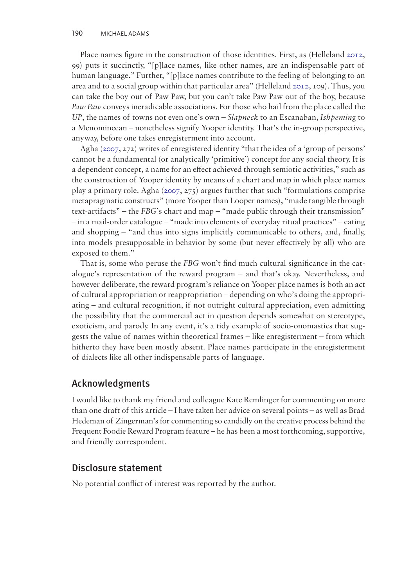<span id="page-4-0"></span>Place names figure in the construction of those identities. First, as (Helleland [2012,](#page-5-8) 99) puts it succinctly, "[p]lace names, like other names, are an indispensable part of human language." Further, "[p]lace names contribute to the feeling of belonging to an area and to a social group within that particular area" (Helleland [2012,](#page-5-8) 109). Thus, you can take the boy out of Paw Paw, but you can't take Paw Paw out of the boy, because *Paw Paw* conveys ineradicable associations. For those who hail from the place called the *UP*, the names of towns not even one's own – *Slapneck* to an Escanaban, *Ishpeming* to a Menomineean – nonetheless signify Yooper identity. That's the in-group perspective, anyway, before one takes enregisterment into account.

Agha [\(2007](#page-5-3), 272) writes of enregistered identity "that the idea of a 'group of persons' cannot be a fundamental (or analytically 'primitive') concept for any social theory. It is a dependent concept, a name for an effect achieved through semiotic activities," such as the construction of Yooper identity by means of a chart and map in which place names play a primary role. Agha [\(2007](#page-5-3), 275) argues further that such "formulations comprise metapragmatic constructs" (more Yooper than Looper names), "made tangible through text-artifacts" – the *FBG*'s chart and map – "made public through their transmission" – in a mail-order catalogue – "made into elements of everyday ritual practices" – eating and shopping – "and thus into signs implicitly communicable to others, and, finally, into models presupposable in behavior by some (but never effectively by all) who are exposed to them."

That is, some who peruse the *FBG* won't find much cultural significance in the catalogue's representation of the reward program – and that's okay. Nevertheless, and however deliberate, the reward program's reliance on Yooper place names is both an act of cultural appropriation or reappropriation – depending on who's doing the appropriating – and cultural recognition, if not outright cultural appreciation, even admitting the possibility that the commercial act in question depends somewhat on stereotype, exoticism, and parody. In any event, it's a tidy example of socio-onomastics that suggests the value of names within theoretical frames – like enregisterment – from which hitherto they have been mostly absent. Place names participate in the enregisterment of dialects like all other indispensable parts of language.

### Acknowledgments

I would like to thank my friend and colleague Kate Remlinger for commenting on more than one draft of this article – I have taken her advice on several points – as well as Brad Hedeman of Zingerman's for commenting so candidly on the creative process behind the Frequent Foodie Reward Program feature – he has been a most forthcoming, supportive, and friendly correspondent.

# Disclosure statement

No potential conflict of interest was reported by the author.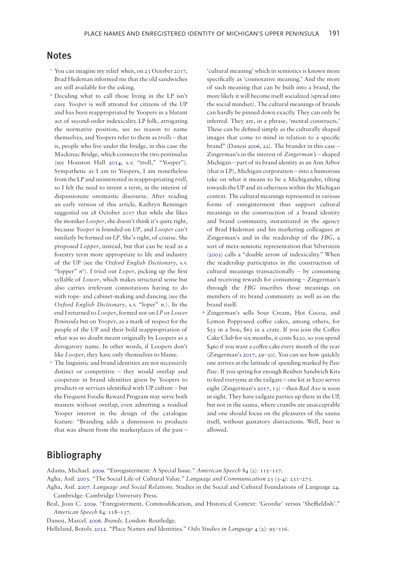#### **Notes**

- <span id="page-5-0"></span><sup>1.</sup> You can imagine my relief when, on 23 October 2017, Brad Hedeman informed me that the old sandwiches are still available for the asking.
- <span id="page-5-1"></span>2. Deciding what to call those living in the LP isn't easy. *Yooper* is well attested for citizens of the UP and has been reappropriated by Yoopers in a blatant act of second-order indexicality. LP folk, arrogating the normative position, see no reason to name themselves, and Yoopers refer to them as *trolls* – that is, people who live under the bridge, in this case the Mackinac Bridge, which connects the two peninsulas (see Houston Hall [2014,](#page-6-7) s.v. "troll," "Yooper"). Sympathetic as I am to Yoopers, I am nonetheless from the LP and uninterested in reappropriating *troll*, so I felt the need to invent a term, in the interest of dispassionate onomastic discourse. After reading an early version of this article, Kathryn Reminger suggested on 28 October 2017 that while she likes the moniker *Looper*, she doesn't think it's quite right, because *Yooper* is founded on *UP*, and *Looper* can't similarly be formed on *LP*. She's right, of course. She proposed *Lopper*, instead, but that can be read as a forestry term more appropriate to life and industry of the UP (see the *Oxford English Dictionary*, s.v. "lopper"  $n<sup>T</sup>$ ). I tried out *Loper*, picking up the first syllable of *Lower*, which makes structural sense but also carries irrelevant connotations having to do with rope- and cabinet-making and dancing (see the *Oxford English Dictionary*, s.v. "loper" *n*.). In the end I returned to *Looper*, formed not on *LP* or *Lower Peninsula* but on *Yooper*, as a mark of respect for the people of the UP and their bold reappropriation of what was no doubt meant originally by Loopers as a derogatory name. In other words, if Loopers don't like *Looper*, they have only themselves to blame.
- <span id="page-5-6"></span><sup>3.</sup> The linguistic and brand identities are not necessarily distinct or competitive – they would overlap and cooperate in brand identities given by Yoopers to products or services identified with UP culture – but the Frequent Foodie Reward Program may serve both masters without overlap, even admitting a residual Yooper interest in the design of the catalogue feature: "Branding adds a dimension to products that was absent from the marketplaces of the past –

<span id="page-5-11"></span><span id="page-5-10"></span>'cultural meaning' which in semiotics is known more specifically as 'connotative meaning.' And the more of such meaning that can be built into a brand, the more likely it will become itself socialized (spread into the social mindset). The cultural meanings of brands can hardly be pinned down exactly. They can only be inferred. They are, in a phrase, 'mental constructs.' These can be defined simply as the culturally shaped images that come to mind in relation to a specific brand" (Danesi [2006](#page-5-9), 22). The brander in this case – Zingerman's in the interest of *Zingerman's* – shaped Michigan – part of its brand identity as an Ann Arbor (that is LP), Michigan corporation – into a humorous take on what it means to be a Michigander, tilting towards the UP and its otherness within the Michigan context. The cultural meanings represented in various forms of enregisterment thus support cultural meanings in the construction of a brand identity and brand community, instantiated in the agency of Brad Hedeman and his marketing colleagues at Zingerman's and in the readership of the *FBG*, a sort of meta-semiotic representation that Silverstein [\(2003\)](#page-6-3) calls a "double arrow of indexicality." When the readership participates in the construction of cultural meanings transactionally – by consuming and receiving rewards for consuming – Zingerman's through the *FBG* inscribes those meanings on members of its brand community as well as on the brand itself.

<span id="page-5-7"></span>4. Zingerman's sells Sour Cream, Hot Cocoa, and Lemon Poppyseed coffee cakes, among others, for \$55 in a box, \$65 in a crate. If you join the Coffee Cake Club for six months, it costs \$230, so you spend \$460 if you want a coffee cake every month of the year (Zingerman's [2017](#page-6-0), 29–30). You can see how quickly one arrives at the latitude of spending marked by *Paw Paw*. If you spring for enough Reuben Sandwich Kits to feed everyone at the tailgate – one kit at \$200 serves eight (Zingerman's [2017,](#page-6-0) 13) – then *Bad Axe* is soon in sight. They have tailgate parties up there in the UP, but not in the sauna, where crumbs are unacceptable and one should focus on the pleasures of the sauna itself, without gustatory distractions. Well, beer is allowed.

### Bibliography

<span id="page-5-4"></span>Adams, Michael. [2009.](#page-2-0) "Enregisterment: A Special Issue." *American Speech* 84 (2): 115–117.

- <span id="page-5-2"></span>Agha, Asif. [2003.](#page-1-0) "The Social Life of Cultural Value." *Language and Communication* 23 (3-4): 231–273.
- <span id="page-5-3"></span>Agha, Asif. [2007](#page-1-1). *Language and Social Relations*. Studies in the Social and Cultural Foundations of Language 24. Cambridge: Cambridge University Press.
- <span id="page-5-5"></span>Beal, Joan C. [2009.](#page-2-1) "Enregisterment, Commodification, and Historical Context: 'Geordie' versus 'Sheffieldish'." *American Speech* 84: 118–137.

<span id="page-5-9"></span>Danesi, Marcel. [2006](#page-5-10). *Brands*. London: Routledge.

<span id="page-5-8"></span>Helleland, Botolv. [2012](#page-4-0). "Place Names and Identities." *Oslo Studies in Language* 4 (2): 95–116.